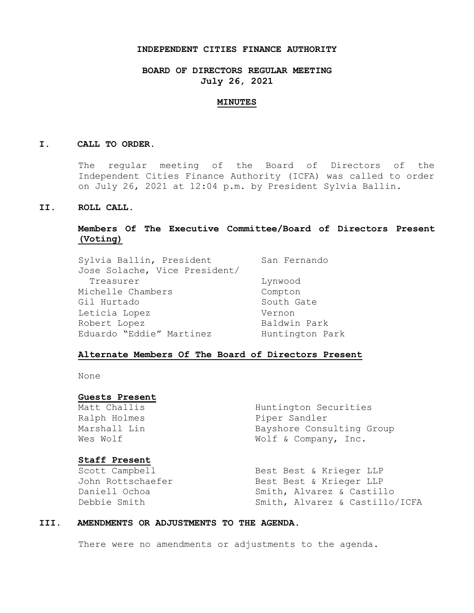## **INDEPENDENT CITIES FINANCE AUTHORITY**

**BOARD OF DIRECTORS REGULAR MEETING July 26, 2021**

#### **MINUTES**

## **I. CALL TO ORDER.**

The regular meeting of the Board of Directors of the Independent Cities Finance Authority (ICFA) was called to order on July 26, 2021 at 12:04 p.m. by President Sylvia Ballin.

## **II. ROLL CALL.**

# **Members Of The Executive Committee/Board of Directors Present (Voting)**

| Sylvia Ballin, President      | San Fernando    |
|-------------------------------|-----------------|
| Jose Solache, Vice President/ |                 |
| Treasurer                     | Lynwood         |
| Michelle Chambers             | Compton         |
| Gil Hurtado                   | South Gate      |
| Leticia Lopez                 | Vernon          |
| Robert Lopez                  | Baldwin Park    |
| Eduardo "Eddie" Martinez      | Huntington Park |

## **Alternate Members Of The Board of Directors Present**

None

## **Guests Present**

## **Staff Present**

Matt Challis Huntington Securities Ralph Holmes **Piper Sandler** Marshall Lin Bayshore Consulting Group Wes Wolf  $W$  Wolf & Company, Inc.

Scott Campbell Best Best & Krieger LLP John Rottschaefer Best Best & Krieger LLP Daniell Ochoa Smith, Alvarez & Castillo Debbie Smith Smith, Alvarez & Castillo/ICFA

## **III. AMENDMENTS OR ADJUSTMENTS TO THE AGENDA.**

There were no amendments or adjustments to the agenda.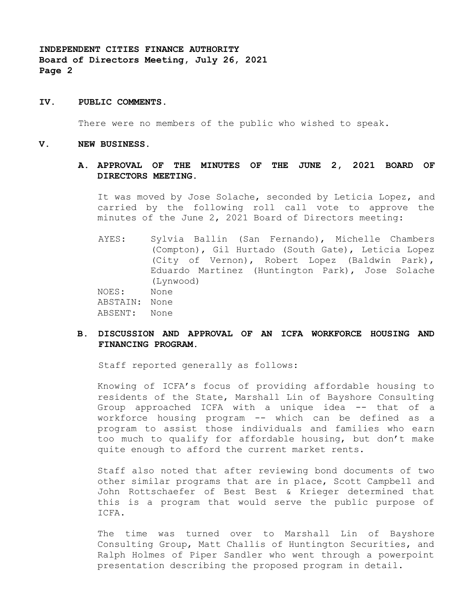## **IV. PUBLIC COMMENTS.**

There were no members of the public who wished to speak.

#### **V. NEW BUSINESS.**

## **A. APPROVAL OF THE MINUTES OF THE JUNE 2, 2021 BOARD OF DIRECTORS MEETING.**

It was moved by Jose Solache, seconded by Leticia Lopez, and carried by the following roll call vote to approve the minutes of the June 2, 2021 Board of Directors meeting:

AYES: Sylvia Ballin (San Fernando), Michelle Chambers (Compton), Gil Hurtado (South Gate), Leticia Lopez (City of Vernon), Robert Lopez (Baldwin Park), Eduardo Martinez (Huntington Park), Jose Solache (Lynwood) NOES: None ABSTAIN: None

ABSENT: None

# **B. DISCUSSION AND APPROVAL OF AN ICFA WORKFORCE HOUSING AND FINANCING PROGRAM.**

Staff reported generally as follows:

Knowing of ICFA's focus of providing affordable housing to residents of the State, Marshall Lin of Bayshore Consulting Group approached ICFA with a unique idea -- that of a workforce housing program -- which can be defined as a program to assist those individuals and families who earn too much to qualify for affordable housing, but don't make quite enough to afford the current market rents.

Staff also noted that after reviewing bond documents of two other similar programs that are in place, Scott Campbell and John Rottschaefer of Best Best & Krieger determined that this is a program that would serve the public purpose of ICFA.

The time was turned over to Marshall Lin of Bayshore Consulting Group, Matt Challis of Huntington Securities, and Ralph Holmes of Piper Sandler who went through a powerpoint presentation describing the proposed program in detail.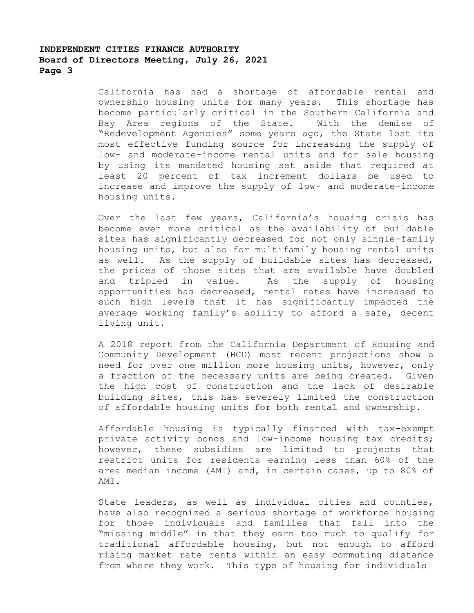California has had a shortage of affordable rental and ownership housing units for many years. This shortage has become particularly critical in the Southern California and Bay Area regions of the State. With the demise of "Redevelopment Agencies" some years ago, the State lost its most effective funding source for increasing the supply of low- and moderate-income rental units and for sale housing by using its mandated housing set aside that required at least 20 percent of tax increment dollars be used to increase and improve the supply of low- and moderate-income housing units.

Over the last few years, California's housing crisis has become even more critical as the availability of buildable sites has significantly decreased for not only single-family housing units, but also for multifamily housing rental units as well. As the supply of buildable sites has decreased, the prices of those sites that are available have doubled and tripled in value. As the supply of housing opportunities has decreased, rental rates have increased to such high levels that it has significantly impacted the average working family's ability to afford a safe, decent living unit.

A 2018 report from the California Department of Housing and Community Development (HCD) most recent projections show a need for over one million more housing units, however, only a fraction of the necessary units are being created. Given the high cost of construction and the lack of desirable building sites, this has severely limited the construction of affordable housing units for both rental and ownership.

Affordable housing is typically financed with tax-exempt private activity bonds and low-income housing tax credits; however, these subsidies are limited to projects that restrict units for residents earning less than 60% of the area median income (AMI) and, in certain cases, up to 80% of AMI.

State leaders, as well as individual cities and counties, have also recognized a serious shortage of workforce housing for those individuals and families that fall into the "missing middle" in that they earn too much to qualify for traditional affordable housing, but not enough to afford rising market rate rents within an easy commuting distance from where they work. This type of housing for individuals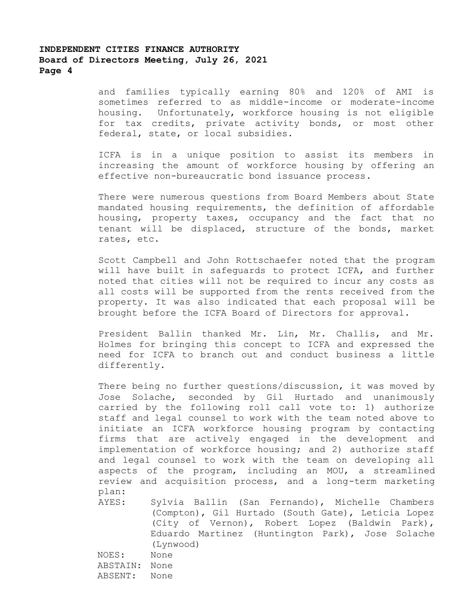and families typically earning 80% and 120% of AMI is sometimes referred to as middle-income or moderate-income housing. Unfortunately, workforce housing is not eligible for tax credits, private activity bonds, or most other federal, state, or local subsidies.

ICFA is in a unique position to assist its members in increasing the amount of workforce housing by offering an effective non-bureaucratic bond issuance process.

There were numerous questions from Board Members about State mandated housing requirements, the definition of affordable housing, property taxes, occupancy and the fact that no tenant will be displaced, structure of the bonds, market rates, etc.

Scott Campbell and John Rottschaefer noted that the program will have built in safeguards to protect ICFA, and further noted that cities will not be required to incur any costs as all costs will be supported from the rents received from the property. It was also indicated that each proposal will be brought before the ICFA Board of Directors for approval.

President Ballin thanked Mr. Lin, Mr. Challis, and Mr. Holmes for bringing this concept to ICFA and expressed the need for ICFA to branch out and conduct business a little differently.

There being no further questions/discussion, it was moved by Jose Solache, seconded by Gil Hurtado and unanimously carried by the following roll call vote to: 1) authorize staff and legal counsel to work with the team noted above to initiate an ICFA workforce housing program by contacting firms that are actively engaged in the development and implementation of workforce housing; and 2) authorize staff and legal counsel to work with the team on developing all aspects of the program, including an MOU, a streamlined review and acquisition process, and a long-term marketing plan:

AYES: Sylvia Ballin (San Fernando), Michelle Chambers (Compton), Gil Hurtado (South Gate), Leticia Lopez (City of Vernon), Robert Lopez (Baldwin Park), Eduardo Martinez (Huntington Park), Jose Solache (Lynwood)

NOES: None ABSTAIN: None ABSENT: None